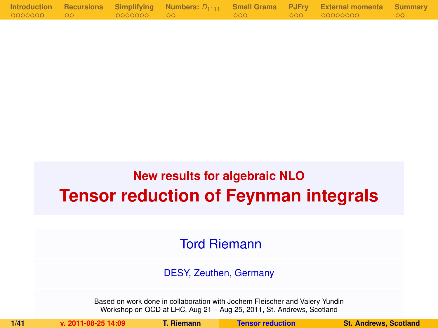|            |             |  | Introduction Recursions Simplifying Numbers: $D_{1111}$ Small Grams PJFry External momenta Summary |  |
|------------|-------------|--|----------------------------------------------------------------------------------------------------|--|
| 0000000 00 | 00000000 00 |  |                                                                                                    |  |

# **New results for algebraic NLO Tensor reduction of Feynman integrals**

### Tord Riemann

#### DESY, Zeuthen, Germany

Based on work done in collaboration with Jochem Fleischer and Valery Yundin Workshop on QCD at LHC, Aug 21 – Aug 25, 2011, St. Andrews, Scotland

<span id="page-0-0"></span>

**1/41 v. 2011-08-25 14:09 T. Riemann [Tensor reduction](#page-40-0) St. Andrews, Scotland**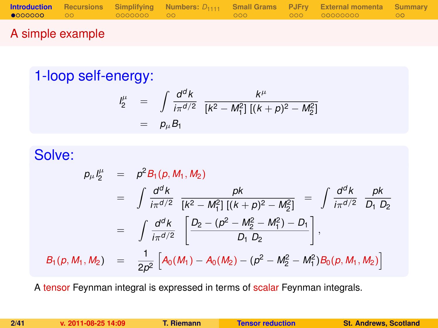|        |  |  | <b>Introduction</b> Recursions Simplifying Numbers: $D_{1111}$ Small Grams PJFry External momenta Summary |  |
|--------|--|--|-----------------------------------------------------------------------------------------------------------|--|
|        |  |  |                                                                                                           |  |
| ______ |  |  |                                                                                                           |  |

### A simple example

### 1-loop self-energy:

<span id="page-1-0"></span>
$$
\begin{array}{rcl}\n l_2^{\mu} & = & \int \frac{d^d k}{i\pi^{d/2}} \frac{k^{\mu}}{[k^2 - M_1^2] \left[ (k+p)^2 - M_2^2 \right]} \\
 & = & p_{\mu} B_1\n \end{array}
$$

### Solve:

$$
p_{\mu}I_{2}^{\mu} = p^{2}B_{1}(p, M_{1}, M_{2})
$$
  
\n
$$
= \int \frac{d^{d}k}{i\pi^{d/2}} \frac{pk}{[k^{2} - M_{1}^{2}][(k+p)^{2} - M_{2}^{2}]} = \int \frac{d^{d}k}{i\pi^{d/2}} \frac{pk}{D_{1} D_{2}}
$$
  
\n
$$
= \int \frac{d^{d}k}{i\pi^{d/2}} \left[ \frac{D_{2} - (p^{2} - M_{2}^{2} - M_{1}^{2}) - D_{1}}{D_{1} D_{2}} \right],
$$
  
\n
$$
B_{1}(p, M_{1}, M_{2}) = \frac{1}{2p^{2}} \left[ A_{0}(M_{1}) - A_{0}(M_{2}) - (p^{2} - M_{2}^{2} - M_{1}^{2}) B_{0}(p, M_{1}, M_{2}) \right]
$$

A tensor Feynman integral is expressed in terms of scalar Feynman integrals.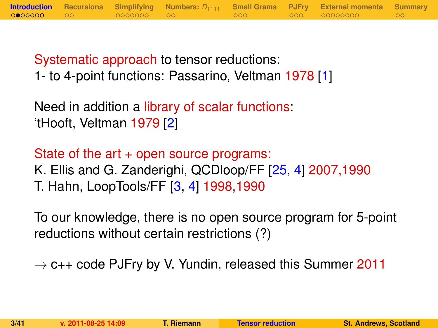Systematic approach to tensor reductions: 1- to 4-point functions: Passarino, Veltman 1978 [\[1\]](#page-38-0)

Need in addition a library of scalar functions: 'tHooft, Veltman 1979 [\[2\]](#page-38-1)

State of the art + open source programs: K. Ellis and G. Zanderighi, QCDloop/FF [\[25,](#page-40-1) [4\]](#page-38-2) 2007,1990 T. Hahn, LoopTools/FF [\[3,](#page-38-3) [4\]](#page-38-2) 1998,1990

To our knowledge, there is no open source program for 5-point reductions without certain restrictions (?)

 $\rightarrow$  c++ code PJFry by V. Yundin, released this Summer 2011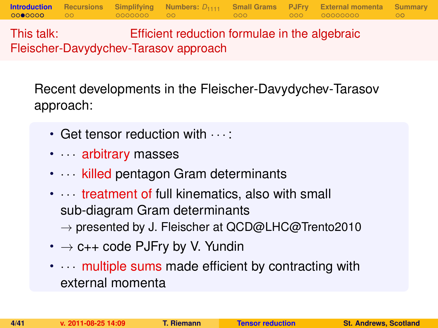This talk: Efficient reduction formulae in the algebraic Fleischer-Davydychev-Tarasov approach

Recent developments in the Fleischer-Davydychev-Tarasov approach:

**[Introduction](#page-1-0) [Recursions](#page-10-0) [Simplifying](#page-12-0) [Numbers:](#page-19-0)** *D*<sup>1111</sup> **[Small Grams](#page-21-0) [PJFry](#page-24-0) [External momenta](#page-27-0) [Summary](#page-36-0)**

- $\cdot$  Get tensor reduction with  $\cdots$
- · · arbitrary masses
- $\cdots$  killed pentagon Gram determinants
- $\cdots$  treatment of full kinematics, also with small sub-diagram Gram determinants  $\rightarrow$  presented by J. Fleischer at QCD@LHC@Trento2010
- $\cdot \rightarrow$  c++ code PJFry by V. Yundin
- $\cdots$  multiple sums made efficient by contracting with external momenta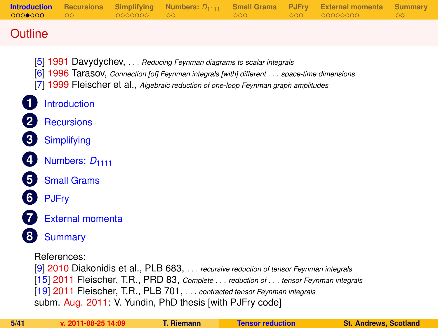| <b>Introduction</b><br>0000000 | <b>Recursions</b><br>$\circ$ | Simplifying<br>0000000 | Numbers: $D_{1111}$<br>$\circ$                                                                                                                                                                                                                          | <b>Small Grams</b><br>000 | <b>PJFry</b><br>000 | <b>External momenta</b><br>00000000 | <b>Summary</b><br>$\circ$ |  |
|--------------------------------|------------------------------|------------------------|---------------------------------------------------------------------------------------------------------------------------------------------------------------------------------------------------------------------------------------------------------|---------------------------|---------------------|-------------------------------------|---------------------------|--|
| Outline                        |                              |                        |                                                                                                                                                                                                                                                         |                           |                     |                                     |                           |  |
|                                |                              |                        | [5] 1991 Davydychev, Reducing Feynman diagrams to scalar integrals<br>[6] 1996 Tarasov, Connection [of] Feynman integrals [with] different space-time dimensions<br>[7] 1999 Fleischer et al., Algebraic reduction of one-loop Feynman graph amplitudes |                           |                     |                                     |                           |  |
|                                | <b>Introduction</b>          |                        |                                                                                                                                                                                                                                                         |                           |                     |                                     |                           |  |
|                                | <b>Recursions</b>            |                        |                                                                                                                                                                                                                                                         |                           |                     |                                     |                           |  |
| 3                              | Simplifying                  |                        |                                                                                                                                                                                                                                                         |                           |                     |                                     |                           |  |
|                                | Numbers: D <sub>1111</sub>   |                        |                                                                                                                                                                                                                                                         |                           |                     |                                     |                           |  |
|                                | <b>Small Grams</b>           |                        |                                                                                                                                                                                                                                                         |                           |                     |                                     |                           |  |
|                                | <b>PJFry</b>                 |                        |                                                                                                                                                                                                                                                         |                           |                     |                                     |                           |  |
|                                | <b>External momenta</b>      |                        |                                                                                                                                                                                                                                                         |                           |                     |                                     |                           |  |
|                                | <b>Summary</b>               |                        |                                                                                                                                                                                                                                                         |                           |                     |                                     |                           |  |
|                                | References:                  |                        | [9] 2010 Diakonidis et al., PLB 683, recursive reduction of tensor Feynman integrals                                                                                                                                                                    |                           |                     |                                     |                           |  |

[\[15\]](#page-39-0) 2011 Fleischer, T.R., PRD 83, *Complete* . . . *reduction of* . . . *tensor Feynman integrals*

[\[19\]](#page-40-2) 2011 Fleischer, T.R., PLB 701, . . . *contracted tensor Feynman integrals*

subm. Aug. 2011: V. Yundin, PhD thesis [with PJFry code]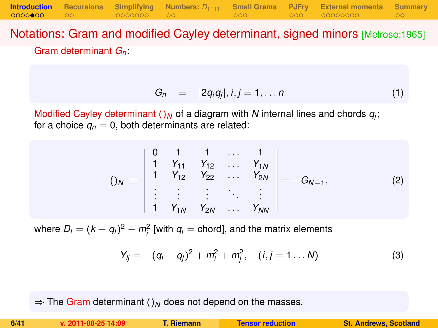Notations: Gram and modified Cayley determinant, signed minors [Melrose:1965] Gram determinant *Gn*:

**[Introduction](#page-1-0) [Recursions](#page-10-0) [Simplifying](#page-12-0) [Numbers:](#page-19-0)** *D*<sup>1111</sup> **[Small Grams](#page-21-0) [PJFry](#page-24-0) [External momenta](#page-27-0) [Summary](#page-36-0)**

$$
G_n = |2q_iq_j|, i,j = 1,\ldots n \qquad (1)
$$

Modified Cayley determinant  $()_N$  of a diagram with  $N$  internal lines and chords  $q_j$ ; for a choice  $q_n = 0$ , both determinants are related:

$$
()_{N} \equiv \begin{vmatrix} 0 & 1 & 1 & \dots & 1 \\ 1 & Y_{11} & Y_{12} & \dots & Y_{1N} \\ 1 & Y_{12} & Y_{22} & \dots & Y_{2N} \\ \vdots & \vdots & \vdots & \ddots & \vdots \\ 1 & Y_{1N} & Y_{2N} & \dots & Y_{NN} \end{vmatrix} = -G_{N-1},
$$
 (2)

where  $D_i = (k - q_i)^2 - m_i^2$  [with  $q_i$  = chord], and the matrix elements

$$
Y_{ij} = -(q_i - q_j)^2 + m_i^2 + m_j^2, \quad (i, j = 1 \dots N)
$$
 (3)

 $\Rightarrow$  The Gram determinant ()<sub>N</sub> does not depend on the masses.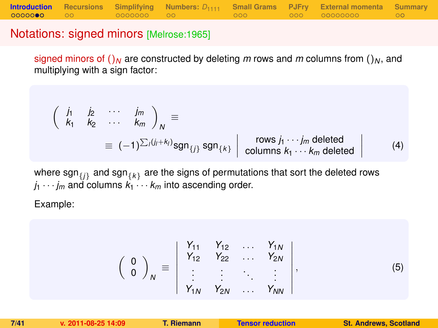### Notations: signed minors [Melrose:1965]

signed minors of  $\int_M$  are constructed by deleting *m* rows and *m* columns from  $\int_M$ , and multiplying with a sign factor:

$$
\begin{pmatrix}\n\dot{J}_1 & \dot{J}_2 & \cdots & \dot{J}_m \\
k_1 & k_2 & \cdots & k_m\n\end{pmatrix}_N \equiv \n\equiv (-1)^{\sum_i (j_i + k_i)} \text{sgn}_{\{j\}} \text{sgn}_{\{k\}} \begin{vmatrix}\n\text{rows } j_1 \cdots j_m \text{ deleted} \\
\text{columns } k_1 \cdots k_m \text{ deleted}\n\end{vmatrix}
$$
\n(4)

where  $\mathsf{sgn}_{\{j\}}$  and  $\mathsf{sgn}_{\{k\}}$  are the signs of permutations that sort the deleted rows  $j_1 \cdots j_m$  and columns  $k_1 \cdots k_m$  into ascending order.

Example:

$$
\left(\begin{array}{c}0\\0\end{array}\right)_N\equiv\left|\begin{array}{cccc}Y_{11}&Y_{12}&\ldots&Y_{1N}\\Y_{12}&Y_{22}&\ldots&Y_{2N}\\ \vdots&\vdots&\ddots&\vdots\\Y_{1N}&Y_{2N}&\ldots&Y_{NN}\end{array}\right|,\tag{5}
$$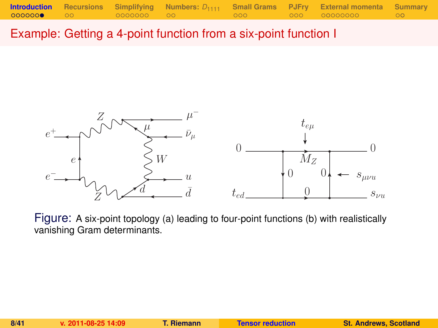Example: Getting a 4-point function from a six-point function I



Figure: A six-point topology (a) leading to four-point functions (b) with realistically vanishing Gram determinants.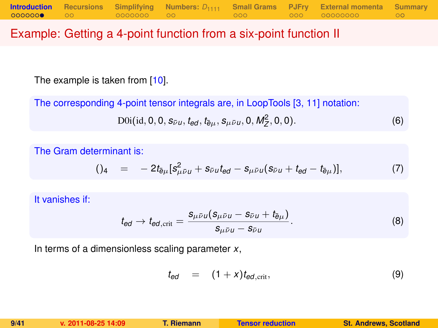### Example: Getting a 4-point function from a six-point function II

The example is taken from [\[10\]](#page-39-1).

The corresponding 4-point tensor integrals are, in LoopTools [\[3,](#page-38-3) [11\]](#page-39-2) notation:

$$
D0i(id, 0, 0, s_{\bar{\nu}u}, t_{ed}, t_{\bar{e}\mu}, s_{\mu\bar{\nu}u}, 0, M_Z^2, 0, 0).
$$
 (6)

The Gram determinant is:

$$
()_{4} = -2t_{\bar{e}\mu}[s_{\mu\bar{\nu}\mu}^{2} + s_{\bar{\nu}\mu}t_{\theta d} - s_{\mu\bar{\nu}\mu}(s_{\bar{\nu}\mu} + t_{\theta d} - t_{\bar{e}\mu})], \qquad (7)
$$

It vanishes if:

$$
t_{\text{ed}} \to t_{\text{ed,crit}} = \frac{s_{\mu\bar{\nu}\mu}(s_{\mu\bar{\nu}\mu} - s_{\bar{\nu}\mu} + t_{\bar{\theta}\mu})}{s_{\mu\bar{\nu}\mu} - s_{\bar{\nu}\mu}}.
$$
(8)

In terms of a dimensionless scaling parameter *x*,

$$
t_{ed} = (1+x)t_{ed,\text{crit}}, \qquad (9)
$$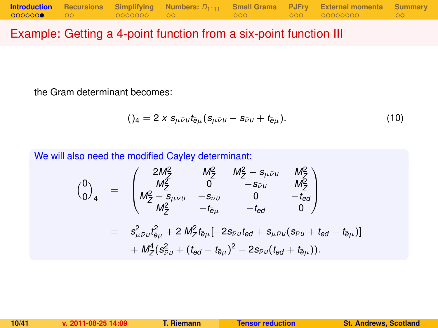### Example: Getting a 4-point function from a six-point function III

the Gram determinant becomes:

$$
()_{4} = 2 \times s_{\mu \bar{\nu} u} t_{\bar{e}\mu} (s_{\mu \bar{\nu} u} - s_{\bar{\nu} u} + t_{\bar{e}\mu}). \qquad (10)
$$

We will also need the modified Cayley determinant:

$$
\begin{array}{rcl}\n\binom{0}{0}_4 & = & \begin{pmatrix}\n2M_Z^2 & M_Z^2 & M_Z^2 - s_{\mu\bar{\nu}u} & M_Z^2 \\
M_Z^2 & 0 & -s_{\bar{\nu}u} & M_Z^2 \\
M_Z^2 - s_{\mu\bar{\nu}u} & -s_{\bar{\nu}u} & 0 & -t_{\bar{e}d} \\
M_Z^2 & -t_{\bar{e}\mu} & -t_{\bar{e}d} & 0\n\end{pmatrix} \\
& = & s_{\mu\bar{\nu}u}^2 t_{\bar{e}\mu}^2 + 2 M_Z^2 t_{\bar{e}\mu} [-2s_{\bar{\nu}u}t_{\bar{e}d} + s_{\mu\bar{\nu}u}(s_{\bar{\nu}u} + t_{\bar{e}d} - t_{\bar{e}\mu})] \\
& + M_Z^4 (s_{\bar{\nu}u}^2 + (t_{\bar{e}d} - t_{\bar{e}\mu})^2 - 2s_{\bar{\nu}u}(t_{\bar{e}d} + t_{\bar{e}\mu})).\n\end{array}
$$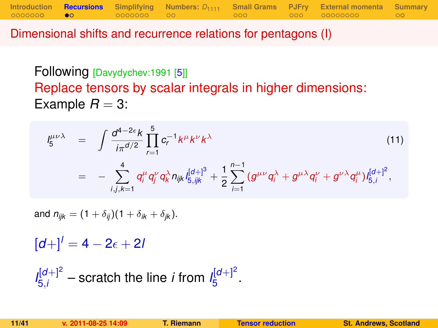Dimensional shifts and recurrence relations for pentagons (I)

Following [Davydychev:1991 [\[5\]](#page-38-4)] Replace tensors by scalar integrals in higher dimensions: Example  $R = 3$ :

**[Introduction](#page-1-0) [Recursions](#page-10-0) [Simplifying](#page-12-0) [Numbers:](#page-19-0)** *D*<sup>1111</sup> **[Small Grams](#page-21-0) [PJFry](#page-24-0) [External momenta](#page-27-0) [Summary](#page-36-0)**

$$
I_{5}^{\mu\nu\lambda} = \int \frac{d^{4-2\epsilon}k}{i\pi^{d/2}} \prod_{r=1}^{5} c_{r}^{-1}k^{\mu}k^{\nu}k^{\lambda}
$$
\n
$$
= - \sum_{i,j,k=1}^{4} q_{i}^{\mu} q_{j}^{\nu} q_{k}^{\lambda} n_{ijk} l_{5,ijk}^{[d+]} + \frac{1}{2} \sum_{i=1}^{n-1} (g^{\mu\nu} q_{i}^{\lambda} + g^{\mu\lambda} q_{i}^{\nu} + g^{\nu\lambda} q_{i}^{\mu}) l_{5,i}^{[d+]}^{2},
$$
\n(11)

and  $n_{ijk} = (1 + \delta_{ij})(1 + \delta_{ik} + \delta_{ik}).$ 

 $[d+1]$ <sup>*l*</sup> = 4 – 2<sub> $\epsilon$ </sub> + 2*l* 

<span id="page-10-0"></span> $I_{5i}^{[d+]2}$  $\frac{d[d+1]^2}{5i}$  – scratch the line *i* from  $I_5^{[d+1]^2}$ י<sup>וט</sup>⊤י<br>5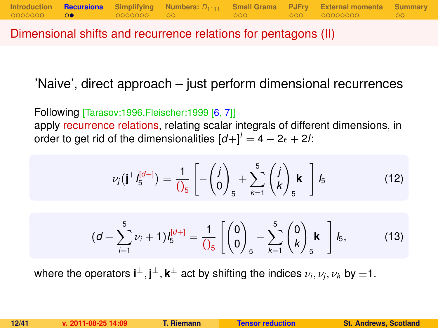Dimensional shifts and recurrence relations for pentagons (II)

'Naive', direct approach – just perform dimensional recurrences

Following [Tarasov:1996,Fleischer:1999 [\[6,](#page-38-5) [7\]](#page-38-6)] apply recurrence relations, relating scalar integrals of different dimensions, in order to get rid of the dimensionalities  $\left[d + \right] = 4 - 2\epsilon + 2l$ :

$$
\nu_j(\mathbf{j}^+ I_5^{[d+]} ) = \frac{1}{\left(\int_5} \left[ -\binom{j}{0}\right]_5 + \sum_{k=1}^5 \binom{j}{k}\mathbf{k}^- \right] I_5 \tag{12}
$$

<span id="page-11-0"></span>
$$
(d - \sum_{i=1}^{5} \nu_i + 1) I_5^{[d+]} = \frac{1}{\left(\begin{matrix} 0 \\ 0 \end{matrix}\right)_5} - \sum_{k=1}^{5} {0 \choose k}_5 k^{-} \bigg] I_5, \tag{13}
$$

where the operators  $\textbf{i}^{\pm}, \textbf{j}^{\pm}, \textbf{k}^{\pm}$  act by shifting the indices  $\nu_i, \nu_j, \nu_k$  by  $\pm 1.$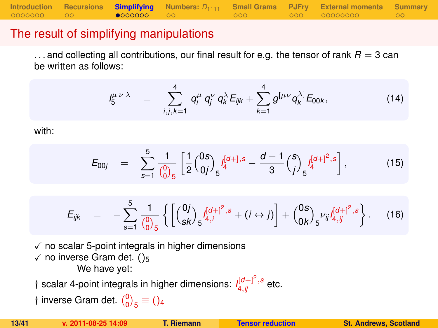**[Introduction](#page-1-0) [Recursions](#page-10-0) [Simplifying](#page-12-0)** [Numbers:](#page-19-0)  $D_{1111}$  [Small Grams](#page-21-0) [PJFry](#page-24-0) [External momenta](#page-27-0) [Summary](#page-36-0)<br>00000000 00 **e000000** 00

### The result of simplifying manipulations

 $\dots$  and collecting all contributions, our final result for e.g. the tensor of rank  $R = 3$  can be written as follows:

$$
I_5^{\mu \nu \lambda} = \sum_{i,j,k=1}^4 q_i^{\mu} q_j^{\nu} q_k^{\lambda} E_{ijk} + \sum_{k=1}^4 g^{[\mu \nu} q_k^{\lambda]} E_{00k}, \qquad (14)
$$

with:

$$
E_{00j} = \sum_{s=1}^{5} \frac{1}{\binom{0}{0}} \left[ \frac{1}{2} \binom{0s}{0j} \int_{5}^{[d+],s} -\frac{d-1}{3} \binom{s}{j} \int_{5}^{[d+]^2,s} \right],
$$
(15)

<span id="page-12-0"></span>
$$
E_{ijk} = -\sum_{s=1}^{5} \frac{1}{\binom{0}{0}} \left\{ \left[ \binom{0j}{sk} \frac{I^{[d]+1]^2,s}}{s^{4,j}} + (i \leftrightarrow j) \right] + \binom{0s}{0k} \frac{\nu_{ij} I^{[d]+1^2,s}}{s^{4,j}} \right\}.
$$
 (16)

 $\sqrt{\ }$  no scalar 5-point integrals in higher dimensions  $\checkmark$  no inverse Gram det. ()<sub>5</sub> We have yet:

 $\dagger$  scalar 4-point integrals in higher dimensions:  $\iint_{4,ij}^{[d+]} \int_{-s}^{2}$  etc.

† inverse Gram det.  $\binom{0}{0}_5 \equiv$  ()<sub>4</sub>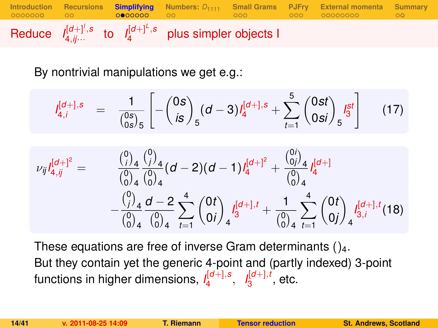

By nontrivial manipulations we get e.g.:

$$
I_{4,i}^{[d+],s} = \frac{1}{\binom{0s}{0s}_5} \left[ -\binom{0s}{is}_5 (d-3) I_4^{[d+],s} + \sum_{t=1}^5 \binom{0st}{0si}_5 I_3^{st} \right] \tag{17}
$$

$$
\nu_{ij}I_{4,jj}^{[d+]^2} = \n\begin{array}{rcl}\n\binom{0}{i} & \binom{0}{j}_4 & (d-2)(d-1)I_4^{[d+]^2} + \frac{\binom{0}{0j}_4}{\binom{0}{0}_4} I_4^{[d+]} \\
& - \frac{\binom{0}{j}_4}{\binom{0}{0}_4} \frac{d-2}{\binom{0}{0}_4} \sum_{t=1}^4 \binom{0t}{0i}_4 I_3^{[d+1,t]} + \frac{1}{\binom{0}{0}_4} \sum_{t=1}^4 \binom{0t}{0j}_4 I_{3,i}^{[d+1,t]}(18)\n\end{array}
$$

These equations are free of inverse Gram determinants  $()_4$ . But they contain yet the generic 4-point and (partly indexed) 3-point functions in higher dimensions, *I* [*d*+],*s* 4 , *I* [*d*+],*t*  $\frac{1}{3}^{\left[0\pm\right],i}$ , etc.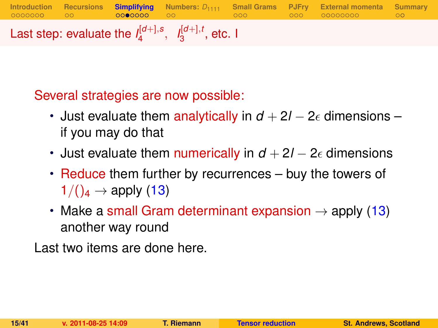**[Introduction](#page-1-0) [Recursions](#page-10-0) [Simplifying](#page-12-0) [Numbers:](#page-19-0)** *D*<sup>1111</sup> **[Small Grams](#page-21-0) [PJFry](#page-24-0) [External momenta](#page-27-0) [Summary](#page-36-0)** Last step: evaluate the  $I_4^{[d+1,s]}$  $I_4^{[d+]}, s, I_3^{[d+]}, t$  $_3^{\mathsf{I}^{\mathsf{U}+\mathsf{J}},\mathsf{t}}$ , etc. I

Several strategies are now possible:

- Just evaluate them analytically in  $d + 2l 2\epsilon$  dimensions if you may do that
- Just evaluate them numerically in  $d + 2l 2\epsilon$  dimensions
- Reduce them further by recurrences buy the towers of  $1/(\mathcal{C}_4 \rightarrow \mathsf{apply}(13))$  $1/(\mathcal{C}_4 \rightarrow \mathsf{apply}(13))$  $1/(\mathcal{C}_4 \rightarrow \mathsf{apply}(13))$
- Make a small Gram determinant expansion  $\rightarrow$  apply [\(13\)](#page-11-0) another way round

Last two items are done here.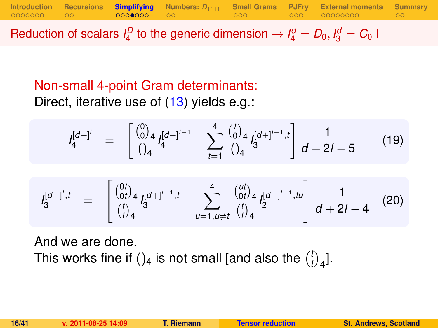**[Introduction](#page-1-0) [Recursions](#page-10-0) [Simplifying](#page-12-0)** [Numbers:](#page-19-0)  $D_{1111}$  [Small Grams](#page-21-0) [PJFry](#page-24-0) [External momenta](#page-27-0) [Summary](#page-36-0)<br>00000000 00 00000000 00

Reduction of scalars  $I_4^D$  to the generic dimension  $\rightarrow I_4^d = D_0, I_3^d = C_0$  I

### Non-small 4-point Gram determinants: Direct, iterative use of [\(13\)](#page-11-0) yields e.g.:

$$
I_4^{[d+1']} = \left[ \frac{\binom{0}{0}_4}{\binom{0}_4} I_4^{[d+1]^{\prime-1}} - \sum_{t=1}^4 \frac{\binom{t}{0}_4}{\binom{0}_4} I_3^{[d+1]^{\prime-1},t} \right] \frac{1}{d+2l-5}
$$
(19)

$$
I_3^{[d+]',t} = \begin{bmatrix} \frac{\binom{0t}{0t}}{t} & 1 & \cdots & \cdots & \cdots & \cdots & \cdots & \cdots & \cdots & \cdots & \cdots & \cdots & \cdots & \cdots & \cdots & \cdots & \cdots & \cdots & \cdots & \cdots & \cdots & \cdots & \cdots & \cdots & \cdots & \cdots & \cdots & \cdots & \cdots & \cdots & \cdots & \cdots & \cdots & \cdots & \cdots & \cdots & \cdots & \cdots & \cdots & \cdots & \cdots & \cdots & \cdots & \cdots & \cdots & \cdots & \cdots & \cdots & \cdots & \cdots & \cdots & \cdots & \cdots & \cdots & \cdots & \cdots & \cdots & \cdots & \cdots & \cdots & \cdots & \cdots & \cdots & \cdots & \cdots & \cdots & \cdots & \cdots & \cdots & \cdots & \cdots & \cdots & \cdots & \cdots & \cdots & \cdots & \cdots & \cdots & \cdots & \cdots & \cdots & \cdots & \cdots & \cdots & \cdots & \cdots & \cdots & \cdots & \cdots & \cdots & \cdots & \cdots & \cdots & \cdots & \cdots & \cdots & \cdots & \cdots & \cdots & \cdots & \cdots & \cdots & \cdots & \cdots & \cdots & \cdots & \cdots & \cdots & \cdots & \cdots & \cdots & \cdots & \cdots & \cdots & \cdots & \cdots & \cdots & \cdots & \cdots & \cdots & \cdots & \cdots &
$$

And we are done. This works fine if ()<sub>4</sub> is not small [and also the  $\binom{l}{l}$  $\binom{t}{t}$ <sub>4</sub>].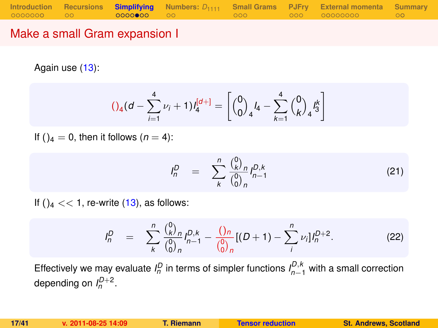### Make a small Gram expansion I

Again use [\(13\)](#page-11-0):

<span id="page-16-1"></span>
$$
()_{4}(d - \sum_{i=1}^{4} \nu_{i} + 1)l_{4}^{[d+]} = \left[{0 \choose 0}_{4}l_{4} - \sum_{k=1}^{4} {0 \choose k}_{4}l_{3}^{k} \right]
$$

If ( $a = 0$ , then it follows ( $n = 4$ ):

$$
I_n^D = \sum_{k}^{n} \frac{\binom{0}{k}^D n}{\binom{0}{0}^n n} I_{n-1}^{D,k}
$$
 (21)

If  $()_4 \ll 1$ , re-write  $(13)$ , as follows:

<span id="page-16-0"></span>
$$
I_n^D = \sum_{k}^{n} \frac{\binom{0}{k} n}{\binom{0}{0} n} I_{n-1}^{D,k} - \frac{\binom{0}{n} n}{\binom{0}{0} n} [(D+1) - \sum_{i}^{n} \nu_i] I_n^{D+2}.
$$
 (22)

Effectively we may evaluate  $I_n^D$  in terms of simpler functions  $I_{n-1}^{D,k}$  with a small correction depending on  $I_n^{D+2}$ .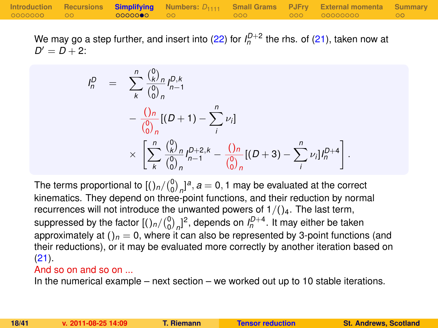We may go a step further, and insert into [\(22\)](#page-16-0) for  $I_n^{D+2}$  the rhs. of [\(21\)](#page-16-1), taken now at  $D' = D + 2$ :

$$
I_n^D = \sum_{k}^{n} \frac{\binom{0}{k}^n}{\binom{0}{0}^n} I_{n-1}^{D,k}
$$
  
- 
$$
\frac{\binom{0}{0}^n}{\binom{0}{0}^n} [(D+1) - \sum_{i}^{n} \nu_i]
$$
  

$$
\times \left[ \sum_{k}^{n} \frac{\binom{0}{k}^n}{\binom{0}{0}^n} I_{n-1}^{D+2,k} - \frac{\binom{0}{0}^n}{\binom{0}{0}^n} [(D+3) - \sum_{i}^{n} \nu_i] I_n^{D+4} \right]
$$

The terms proportional to  $\left[\binom{0}{0}_n\right]^{a}$ ,  $a=0,1$  may be evaluated at the correct kinematics. They depend on three-point functions, and their reduction by normal recurrences will not introduce the unwanted powers of  $1/(\frac{1}{4}$ . The last term, suppressed by the factor  $[(\ln/(\frac{0}{0})_n]^2]$ , depends on  $I_n^{D+4}$ . It may either be taken approximately at  $()_n = 0$ , where it can also be represented by 3-point functions (and their reductions), or it may be evaluated more correctly by another iteration based on [\(21\)](#page-16-1).

#### And so on and so on ...

In the numerical example – next section – we worked out up to 10 stable iterations.

.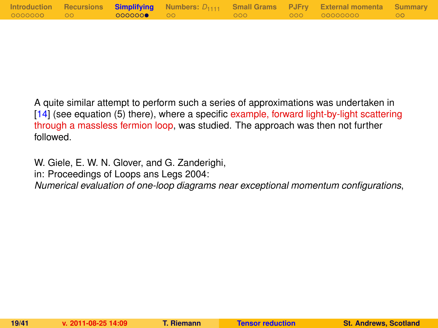|            |                   |         | Introduction Recursions Simplifying Numbers: $D_{1111}$ Small Grams PJFry External momenta Summary |  |
|------------|-------------------|---------|----------------------------------------------------------------------------------------------------|--|
| 0000000 00 | <b>0000000 00</b> | - 000 - | 000 00000000                                                                                       |  |

A quite similar attempt to perform such a series of approximations was undertaken in [\[14\]](#page-39-3) (see equation (5) there), where a specific example, forward light-by-light scattering through a massless fermion loop, was studied. The approach was then not further followed.

W. Giele, E. W. N. Glover, and G. Zanderighi,

in: Proceedings of Loops ans Legs 2004:

*Numerical evaluation of one-loop diagrams near exceptional momentum configurations*,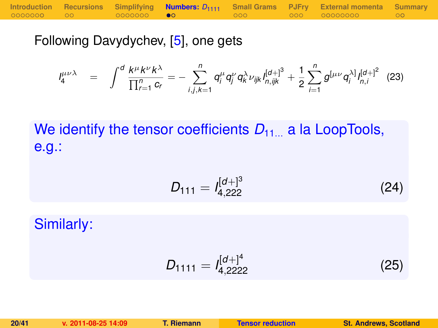|            |                   |       | Introduction Recursions Simplifying <b>Numbers:</b> $D_{1111}$ Small Grams PJFry External momenta Summary |      |
|------------|-------------------|-------|-----------------------------------------------------------------------------------------------------------|------|
| 0000000 00 | 0000000 <b>00</b> | - റററ | 000 00000000 7                                                                                            | ം റെ |

Following Davydychev, [\[5\]](#page-38-4), one gets

$$
I_4^{\mu\nu\lambda} = \int^d \frac{k^{\mu}k^{\nu}k^{\lambda}}{\prod_{r=1}^n c_r} = -\sum_{i,j,k=1}^n q_i^{\mu} q_j^{\nu} q_k^{\lambda} \nu_{ijk} I_{n,ijk}^{[d+]^3} + \frac{1}{2} \sum_{i=1}^n g^{[\mu\nu} q_i^{\lambda]} I_{n,i}^{[d+]^2}
$$
(23)

We identify the tensor coefficients  $D_{11}$  a la LoopTools, e.g.:

$$
D_{111} = I_{4,222}^{[d+]^{3}}
$$
 (24)

Similarly:

<span id="page-19-0"></span>
$$
D_{1111} = I_{4,2222}^{[d+]^4}
$$
 (25)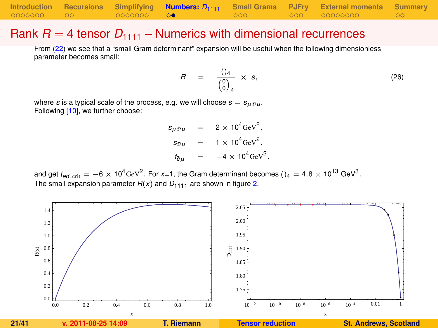|            |                   |       | Introduction Recursions Simplifying <b>Numbers:</b> $D_{1111}$ Small Grams PJFry External momenta Summary |                  |
|------------|-------------------|-------|-----------------------------------------------------------------------------------------------------------|------------------|
| 0000000 00 | 0000000 <b>00</b> | - റററ |                                                                                                           | $\sim$ 00 $\sim$ |

#### Rank  $R = 4$  tensor  $D_{1111}$  – Numerics with dimensional recurrences

From [\(22\)](#page-16-0) we see that a "small Gram determinant" expansion will be useful when the following dimensionless parameter becomes small:

<span id="page-20-1"></span>
$$
R = \frac{()_4}{\begin{pmatrix} 0 \\ 0 \end{pmatrix}_4} \times s, \tag{26}
$$

where *s* is a typical scale of the process, e.g. we will choose  $s = s_{\mu \bar{\nu} \mu}$ . Following [\[10\]](#page-39-1), we further choose:

> $s_{\mu\bar{\nu}\mu}$  = 2 × 10<sup>4</sup>GeV<sup>2</sup>,  $s_{\bar{\nu}u}$  = 1 × 10<sup>4</sup>GeV<sup>2</sup>,  $t_{\bar{e}\mu}$  =  $-4 \times 10^4 \text{GeV}^2$ ,

and get  $t_{ed,\rm crit}=-6\times10^4$ GeV $^2$ . For *x*=1, the Gram determinant becomes () $_4=$  4.8  $\times$  10 $^{13}$  GeV $^3$ . The small expansion parameter  $R(x)$  and  $D_{1111}$  are shown in figure [2.](#page-20-0)

<span id="page-20-0"></span>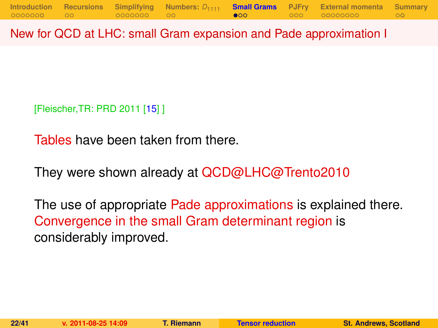New for QCD at LHC: small Gram expansion and Pade approximation I

[Fleischer,TR: PRD 2011 [\[15\]](#page-39-0) ]

Tables have been taken from there.

They were shown already at QCD@LHC@Trento2010

<span id="page-21-0"></span>The use of appropriate Pade approximations is explained there. Convergence in the small Gram determinant region is considerably improved.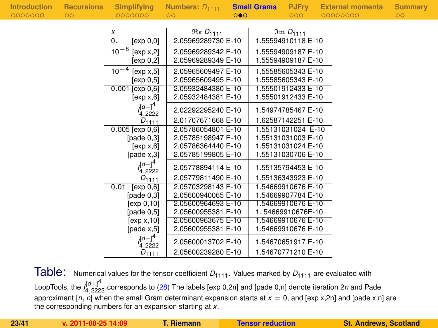| Introduction<br>-0000000 |
|--------------------------|
|                          |

| ummar |  |  |  |  |  |  |
|-------|--|--|--|--|--|--|
|       |  |  |  |  |  |  |
|       |  |  |  |  |  |  |

| $\overline{\mathfrak{Re}}$ $D_{1111}$<br>x    |                             |
|-----------------------------------------------|-----------------------------|
|                                               | $\overline{3}$ m $D_{1111}$ |
| 2.05969289730 E-10<br>0.<br>[exp 0,0]         | 1.55594910118 E-10          |
| $10^{-8}$<br>2.05969289342 E-10<br>[exp x, 2] | 1.55594909187 E-10          |
| 2.05969289349 E-10<br>[exp 0,2]               | 1.55594909187 E-10          |
| $10^{-4}$<br>2.05965609497 E-10<br>[exp x, 5] | 1.55585605343 E-10          |
| 2.05965609495 E-10<br>[exp 0.5]               | 1.55585605343 E-10          |
| 2.05932484380 E-10<br>[exp 0, 6]<br>0.001     | 1.55501912433 E-10          |
| 2.05932484381 E-10<br>[exp x, 6]              | 1.55501912433 E-10          |
| $l_{4,2222}^{[d+]}$<br>2.02292295240 E-10     | 1.54974785467 E-10          |
| 2.01707671668 E-10<br>$D_{1111}$              | 1.62587142251 E-10          |
| $0.005$ [exp $0,6$ ]<br>2.05786054801 E-10    | 1.55131031024 E-10          |
| [pade $0,3$ ]<br>2.05785198947 E-10           | 1.55131031003 E-10          |
| 2.05786364440 E-10<br>[exp x, 6]              | 1.55131031024 E-10          |
| [page x, 3]<br>2.05785199805 E-10             | 1.55131030706 E-10          |
| $(1)^4$<br>2.05778894114 E-10<br>4.2222       | 1.55135794453 E-10          |
| 2.05779811490 E-10<br>$D_{1111}$              | 1.55136343923 E-10          |
| 2.05703298143 E-10<br>[exp 0, 6]<br>0.01      | 1.54669910676 E-10          |
| [pade $0,3$ ]<br>2.05600940065 E-10           | 1.54669907784 E-10          |
| [exp 0,10]<br>2.05600964693 E-10              | 1.54669910676 E-10          |
| [pade $0,5$ ]<br>2.05600955381 E-10           | 1.54669910676E-10           |
| 2.05600963675 E-10<br>[exp x, 10]             | 1.54669910676 E-10          |
| [page x, 5]<br>2.05600955381 E-10             | 1.54669910676 E-10          |
| $(d+)^4$<br>2.05600013702 E-10<br>4.2222      | 1.54670651917 E-10          |
| 2.05600239280 E-10<br>$D_{1111}$              | 1.54670771210 E-10          |

Table: Numerical values for the tensor coefficient  $D_{1111}$ . Values marked by  $D_{1111}$  are evaluated with LoopTools, the *I* [*d*+]4 <sup>4</sup>,<sup>2222</sup> corresponds to [\(28\)](#page-29-0) The labels [exp 0,2n] and [pade 0,n] denote iteration 2*n* and Pade approximant  $[n, n]$  when the small Gram determinant expansion starts at  $x = 0$ , and  $[exp x, 2n]$  and  $[pade x, n]$  are the corresponding numbers for an expansion starting at *x*.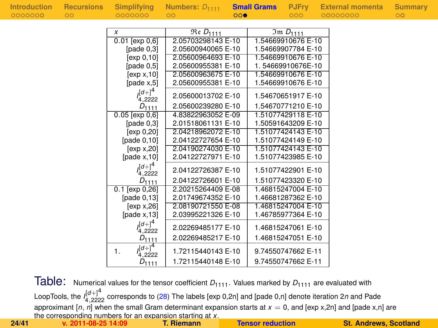| Introduction | <b>Recursions</b> | Simplifying                  | Numbers: $D_{1111}$                   |     | <b>Small Grams</b> | <b>PJFry</b>       | <b>External momenta</b> | <b>Summary</b> |
|--------------|-------------------|------------------------------|---------------------------------------|-----|--------------------|--------------------|-------------------------|----------------|
| 0000000      | $\circ$           | 0000000                      | $\circ$                               | 000 |                    | 000                | 00000000                | $\circ$        |
|              |                   |                              |                                       |     |                    |                    |                         |                |
|              |                   | X                            | $\overline{\mathfrak{Re}}$ $D_{1111}$ |     |                    | $Im D_{1111}$      |                         |                |
|              |                   | $0.01$ [exp $0,6$ ]          | 2.05703298143 E-10                    |     |                    | 1.54669910676 E-10 |                         |                |
|              |                   | [ $pade 0,3$ ]               | 2.05600940065 E-10                    |     |                    | 1.54669907784 E-10 |                         |                |
|              |                   | [ $exp 0, 10$ ]              | 2.05600964693 E-10                    |     |                    | 1.54669910676 E-10 |                         |                |
|              |                   | [pade $0,5$ ]                | 2.05600955381 E-10                    |     |                    | 1.54669910676E-10  |                         |                |
|              |                   | [exp x, 10]                  | 2.05600963675 E-10                    |     |                    | 1.54669910676 E-10 |                         |                |
|              |                   | [pade $x,5$ ]                | 2.05600955381 E-10                    |     |                    | 1.54669910676 E-10 |                         |                |
|              |                   | $(1)^4$<br>4.2222            | 2.05600013702 E-10                    |     |                    | 1.54670651917 E-10 |                         |                |
|              |                   | $D_{1111}$                   | 2.05600239280 E-10                    |     |                    | 1.54670771210 E-10 |                         |                |
|              |                   | $0.05$ [exp $0,6$ ]          | 4.83822963052 E-09                    |     |                    | 1.51077429118 E-10 |                         |                |
|              |                   | [pade $0,3$ ]                | 2.01518061131 E-10                    |     |                    | 1.50591643209 E-10 |                         |                |
|              |                   | [exp 0, 20]                  | 2.04218962072 E-10                    |     |                    | 1.51077424143 E-10 |                         |                |
|              |                   | [pade $0,10$ ]               | 2.04122727654 E-10                    |     |                    | 1.51077424149 E-10 |                         |                |
|              |                   | [exp x, 20]                  | 2.04190274030 E-10                    |     |                    | 1.51077424143 E-10 |                         |                |
|              |                   | [pade $x$ , 10]              | 2.04122727971 E-10                    |     |                    | 1.51077423985 E-10 |                         |                |
|              |                   | $(a+1)^4$<br>4,2222          | 2.04122726387 E-10                    |     |                    | 1.51077422901 E-10 |                         |                |
|              |                   | $D_{1111}$                   | 2.04122726601 E-10                    |     |                    | 1.51077423320 E-10 |                         |                |
|              |                   | $0.1$ [exp 0,26]             | 2.20215264409 E-08                    |     |                    | 1.46815247004 E-10 |                         |                |
|              |                   | [pade $0,13$ ]               | 2.01749674352 E-10                    |     |                    | 1.46681287362 E-10 |                         |                |
|              |                   | [exp x, 26]                  | 2.08190721550 E-08                    |     |                    | 1.46815247004 E-10 |                         |                |
|              |                   | [pade $x$ , 13]              | 2.03995221326 E-10                    |     |                    | 1.46785977364 E-10 |                         |                |
|              |                   | $(a+1)^4$<br>4,2222          | 2.02269485177 E-10                    |     |                    | 1.46815247061 E-10 |                         |                |
|              |                   | $D_{1111}$                   | 2.02269485217 E-10                    |     |                    | 1.46815247051 E-10 |                         |                |
|              |                   | $J^{[d+]}^4$<br>1.<br>4.2222 | 1.72115440143 E-10                    |     |                    | 9.74550747662 E-11 |                         |                |
|              |                   | $D_{1111}$                   | 1.72115440148 E-10                    |     |                    | 9.74550747662 E-11 |                         |                |

Table: Numerical values for the tensor coefficient  $D_{1111}$ . Values marked by  $D_{1111}$  are evaluated with LoopTools, the *I* [*d*+]4 <sup>4</sup>,<sup>2222</sup> corresponds to [\(28\)](#page-29-0) The labels [exp 0,2n] and [pade 0,n] denote iteration 2*n* and Pade approximant  $[n, n]$  when the small Gram determinant expansion starts at  $x = 0$ , and [exp x,2n] and [pade x,n] are the corresponding numbers for an expansion starting at *x*. **24/41 v. 2011-08-25 14:09 T. Riemann [Tensor reduction](#page-0-0) St. Andrews, Scotland**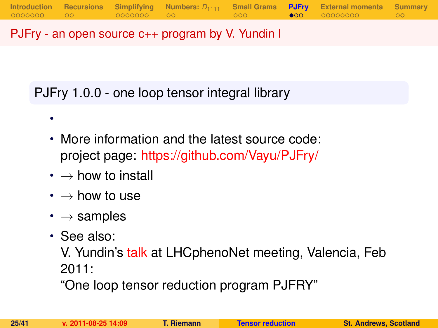PJFry - an open source c++ program by V. Yundin I

PJFry 1.0.0 - one loop tensor integral library

- More information and the latest source code: project page: <https://github.com/Vayu/PJFry/>
- $\cdot \rightarrow$  how to install
- $\bm{\cdot} \rightarrow$  how to use
- $\cdot \rightarrow$  samples
- See also:

•

V. Yundin's [talk](http://indico.ific.uv.es/indico/contributionDisplay.py?contribId=25&sessionId=15&confId=339) at LHCphenoNet meeting, Valencia, Feb 2011:

<span id="page-24-0"></span>"One loop tensor reduction program PJFRY"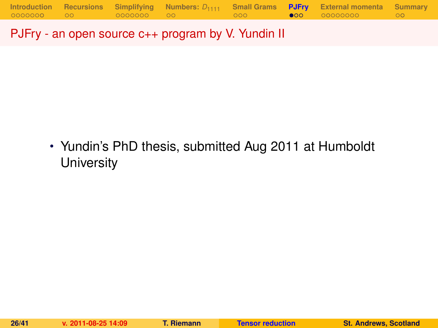PJFry - an open source c++ program by V. Yundin II

• Yundin's PhD thesis, submitted Aug 2011 at Humboldt **University**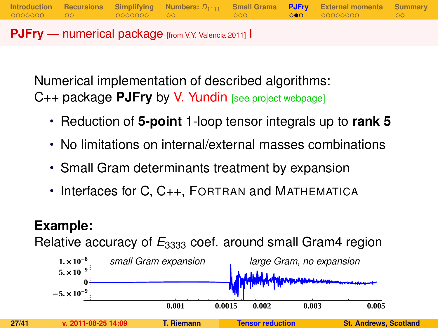**PJFry** — numerical package [from V.Y. Valencia 2011] I

Numerical implementation of described algorithms: C++ package **PJFry** by V. Yundin [see project webpage]

• Reduction of **5-point** 1-loop tensor integrals up to **rank 5**

**[Introduction](#page-1-0) [Recursions](#page-10-0) [Simplifying](#page-12-0) [Numbers:](#page-19-0)** *D*<sup>1111</sup> **[Small Grams](#page-21-0) [PJFry](#page-24-0) [External momenta](#page-27-0) [Summary](#page-36-0)**

- No limitations on internal/external masses combinations
- Small Gram determinants treatment by expansion
- Interfaces for C, C<sub>++</sub>, FORTRAN and MATHEMATICA

### **Example:**

Relative accuracy of  $E_{3333}$  coef. around small Gram4 region

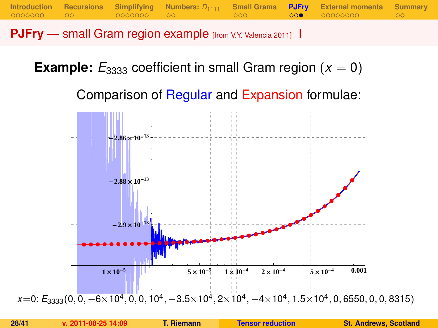**PJFry** — small Gram region example [from V.Y. Valencia 2011] I

**Example:**  $E_{3333}$  coefficient in small Gram region ( $x = 0$ )

<span id="page-27-0"></span>Comparison of Regular and Expansion formulae:

**[Introduction](#page-1-0) [Recursions](#page-10-0) [Simplifying](#page-12-0) [Numbers:](#page-19-0)** *D*<sup>1111</sup> **[Small Grams](#page-21-0) [PJFry](#page-24-0) [External momenta](#page-27-0) [Summary](#page-36-0)**

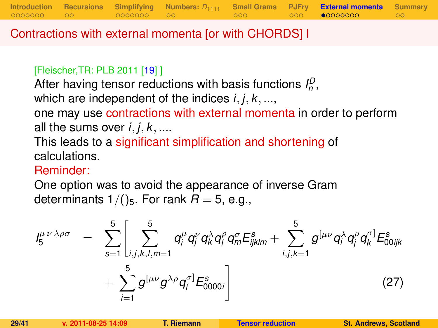Contractions with external momenta [or with CHORDS] I

#### [Fleischer,TR: PLB 2011 [\[19\]](#page-40-2) ]

After having tensor reductions with basis functions  $I_p^D$ , which are independent of the indices *i*, *j*, *k*, ..., one may use contractions with external momenta in order to perform all the sums over  $i, j, k, \ldots$ 

This leads to a significant simplification and shortening of calculations.

### Reminder:

One option was to avoid the appearance of inverse Gram determinants  $1/()$ <sub>5</sub>. For rank  $R = 5$ , e.g.,

$$
I_{5}^{\mu\nu\lambda\rho\sigma} = \sum_{s=1}^{5} \left[ \sum_{i,j,k,l,m=1}^{5} q_{i}^{\mu} q_{j}^{\nu} q_{k}^{\lambda} q_{l}^{\rho} q_{m}^{\sigma} E_{ijklm}^{s} + \sum_{i,j,k=1}^{5} g^{[\mu\nu} q_{i}^{\lambda} q_{j}^{\rho} q_{k}^{\sigma}] E_{00ijk}^{s} + \sum_{i=1}^{5} g^{[\mu\nu} g^{\lambda\rho} q_{i}^{\sigma}] E_{0000i}^{s} \right]
$$
(27)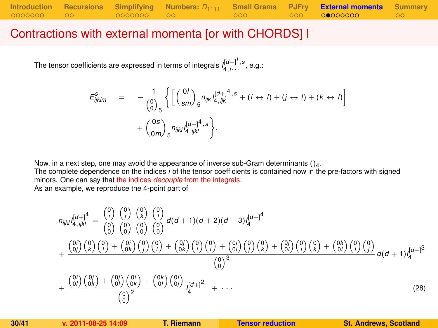### Contractions with external momenta [or with CHORDS] I

The tensor coefficients are expressed in terms of integrals  $I_{4,i\cdots}^{[d+]^I,s}$  , e.g.:

$$
E_{ijklm}^s = -\frac{1}{\binom{0}{0}_{5}} \left\{ \left[ \binom{0I}{sm} _5 n_{ijk} I_{4,ijk}^{[d+]^4, s} + (i \leftrightarrow I) + (j \leftrightarrow I) + (k \leftrightarrow I) \right] + \binom{0s}{am} _5 n_{ijkl} I_{4,ijkl}^{[d+]^4, s} \right\}.
$$

Now, in a next step, one may avoid the appearance of inverse sub-Gram determinants  $()_4$ .

The complete dependence on the indices *i* of the tensor coefficients is contained now in the pre-factors with signed minors. One can say that the indices *decouple* from the integrals.

As an example, we reproduce the 4-point part of

<span id="page-29-0"></span>
$$
n_{ijkl}I_{4,ijkl}^{[d+]4} = \frac{\binom{0}{i}}{\binom{0}{0}}\frac{\binom{0}{i}}{\binom{0}{0}}\frac{\binom{0}{k}}{\binom{0}{0}}\frac{\binom{0}{k}}{\binom{0}{0}}d(d+1)(d+2)(d+3)I_{4}^{[d+1]4}
$$

$$
+\frac{\binom{0}{i}}{\binom{0}{i}}\binom{0}{k}\binom{0}{i}+\binom{0}{0k}\binom{0}{j}\binom{0}{j}+\binom{0}{0k}\binom{0}{j}\binom{0}{k}+\binom{0}{0l}\binom{0}{j}\binom{0}{k}+\binom{0}{0l}\binom{0}{i}\binom{0}{k}+\binom{0}{0l}\binom{0}{j}\binom{0}{k}}{\binom{0}{0}^3}d(d+1)I_{4}^{[d+1]3}
$$

$$
+\frac{\binom{0}{i}}{\binom{0}{i}}\frac{\binom{0}{j}}{\binom{0}{k}}+\frac{\binom{0}{j}}{\binom{0}{j}}\frac{\binom{0}{j}}{\binom{0}{j}}+\frac{\binom{0}{j}}{\binom{0}{j}}\frac{\binom{0}{j}}{\binom{0}{j}}+\frac{\binom{0}{j}}{\binom{0}{j}}\frac{\binom{0}{j}}{\binom{0}{k}}+\frac{\binom{0}{j}}{\binom{0}{j}}\frac{\binom{0}{j}}{\binom{0}{k}}+\cdots
$$
(28)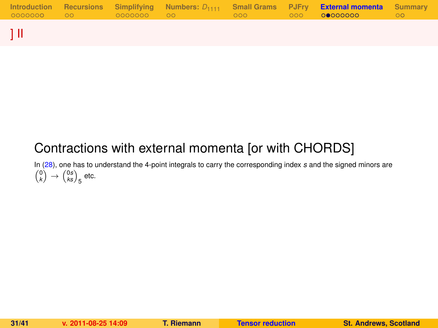|  |  |  | Introduction Recursions Simplifying Numbers: $D_{1111}$ Small-Grams PJFry <b>External-momenta</b> Summary | ററ |
|--|--|--|-----------------------------------------------------------------------------------------------------------|----|
|  |  |  |                                                                                                           |    |

## Contractions with external momenta [or with CHORDS]

In [\(28\)](#page-29-0), one has to understand the 4-point integrals to carry the corresponding index *s* and the signed minors are  $\binom{0}{k} \rightarrow \binom{0s}{ks}_5$  etc.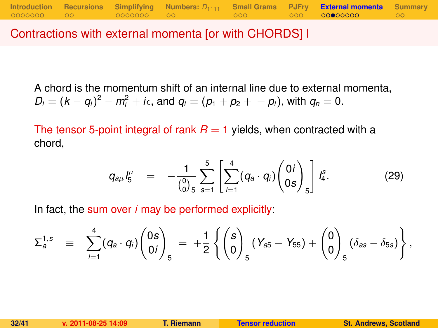Contractions with external momenta [or with CHORDS] I

A chord is the momentum shift of an internal line due to external momenta,  $D_i = (k - q_i)^2 - m_i^2 + i\epsilon$ , and  $q_i = (p_1 + p_2 + p_i)$ , with  $q_n = 0$ .

The tensor 5-point integral of rank  $R = 1$  yields, when contracted with a chord,

$$
q_{a\mu} I_5^{\mu} = -\frac{1}{\binom{0}{0} 5} \sum_{s=1}^5 \left[ \sum_{i=1}^4 (q_a \cdot q_i) \binom{0 i}{0 s} \right] I_4^s. \tag{29}
$$

In fact, the sum over *i* may be performed explicitly:

$$
\Sigma_a^{1,s} \equiv \sum_{i=1}^4 (q_a \cdot q_i) \begin{pmatrix} 0s \\ 0i \end{pmatrix}_5 = + \frac{1}{2} \left\{ \begin{pmatrix} s \\ 0 \end{pmatrix}_5 (Y_{a5} - Y_{55}) + \begin{pmatrix} 0 \\ 0 \end{pmatrix}_5 (\delta_{as} - \delta_{5s}) \right\},
$$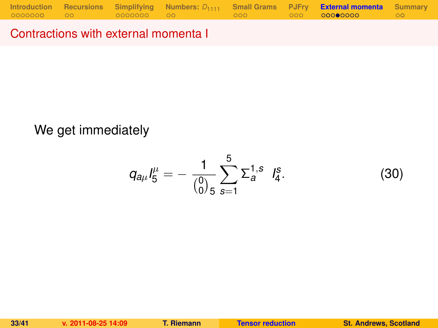Contractions with external momenta I

### We get immediately

$$
q_{a\mu}I_5^{\mu}=-\frac{1}{\binom{0}{0.5}}\sum_{s=1}^5\Sigma_a^{1,s}I_4^s.
$$
 (30)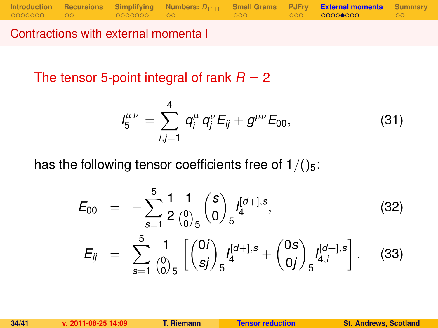**[Introduction](#page-1-0) [Recursions](#page-10-0) [Simplifying](#page-12-0) [Numbers:](#page-19-0)**  $D_{1111}$  **[Small Grams](#page-21-0) [PJFry](#page-24-0) [External momenta](#page-27-0)** [Summary](#page-36-0)<br>00000000 000 00000000 00

Contractions with external momenta I

The tensor 5-point integral of rank  $R = 2$ 

<span id="page-33-0"></span>
$$
I_5^{\mu\nu} = \sum_{i,j=1}^4 q_i^{\mu} q_j^{\nu} E_{ij} + g^{\mu\nu} E_{00}, \qquad (31)
$$

has the following tensor coefficients free of  $1/(25)$ :

$$
E_{00} = -\sum_{s=1}^{5} \frac{1}{2} \frac{1}{\binom{0}{0}} \binom{s}{0} f_4^{[d+],s},
$$
\n
$$
E_{ij} = \sum_{s=1}^{5} \frac{1}{\binom{0}{0}} \left[ \binom{0i}{sj} f_5^{[d+],s} + \binom{0s}{0j} f_{4,i}^{[d+],s} \right].
$$
\n(33)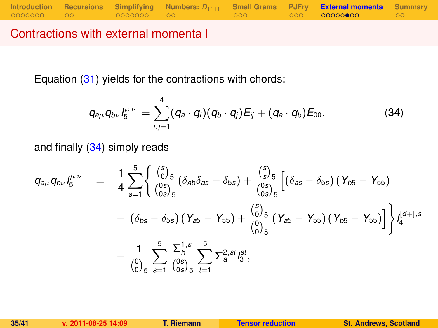Contractions with external momenta I

Equation [\(31\)](#page-33-0) yields for the contractions with chords:

<span id="page-34-0"></span>
$$
q_{a\mu}q_{b\nu}l_5^{\mu\nu}=\sum_{i,j=1}^4(q_a\cdot q_i)(q_b\cdot q_j)E_{ij}+(q_a\cdot q_b)E_{00}.
$$
 (34)

and finally [\(34\)](#page-34-0) simply reads

$$
q_{a\mu}q_{b\nu}I_5^{\mu\nu} = \frac{1}{4}\sum_{s=1}^5 \left\{ \frac{\binom{s}{0.5}}{\binom{0 s}{0 s/5}}(\delta_{a b}\delta_{a s} + \delta_{5 s}) + \frac{\binom{s}{5}}{\binom{0 s}{0 s/5}}\left[ (\delta_{a s} - \delta_{5 s}) (\gamma_{b 5} - \gamma_{5 5}) + (\delta_{b s} - \delta_{5 s}) (\gamma_{a 5} - \gamma_{5 5}) + \frac{\binom{s}{0.5}}{\binom{0}{0.5}} (\gamma_{a 5} - \gamma_{5 5}) (\gamma_{b 5} - \gamma_{5 5}) \right] \right\} I_4^{[d+],s}
$$
  
+ 
$$
\frac{1}{\binom{0}{0.5}}\sum_{s=1}^5 \frac{\sum_{b}^{1, s}}{\binom{0 s}{0 s}} \sum_{t=1}^5 \sum_{s=1}^{2, st} I_5^{st},
$$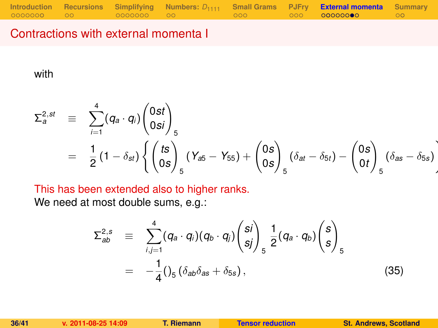### Contractions with external momenta I

with

$$
\Sigma_{a}^{2,st} \equiv \sum_{i=1}^{4} (q_{a} \cdot q_{i}) \begin{pmatrix} 0st \\ 0si \end{pmatrix}_{5}
$$
  
=  $\frac{1}{2} (1 - \delta_{st}) \left\{ \begin{pmatrix} ts \\ 0s \end{pmatrix}_{5} (Y_{a5} - Y_{55}) + \begin{pmatrix} 0s \\ 0s \end{pmatrix}_{5} (\delta_{at} - \delta_{5t}) - \begin{pmatrix} 0s \\ 0t \end{pmatrix}_{5} (\delta_{as} - \delta_{5s}) \right\}$ 

This has been extended also to higher ranks.

We need at most double sums, e.g.:

$$
\Sigma_{ab}^{2,s} \equiv \sum_{i,j=1}^{4} (q_a \cdot q_i)(q_b \cdot q_j) {s_i \choose s_j}_{s} \frac{1}{2} (q_a \cdot q_b) {s \choose s}_{s}
$$
  

$$
= -\frac{1}{4} ( \int_5 (\delta_{ab} \delta_{as} + \delta_{5s} ), \qquad (35)
$$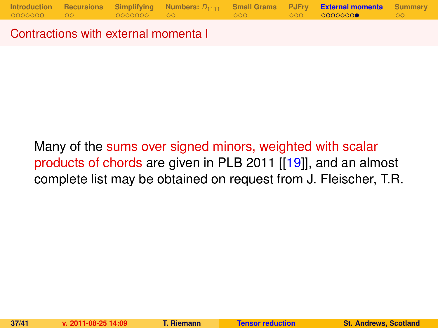Contractions with external momenta I

<span id="page-36-0"></span>Many of the sums over signed minors, weighted with scalar products of chords are given in PLB 2011 [[\[19\]](#page-40-2)], and an almost complete list may be obtained on request from J. Fleischer, T.R.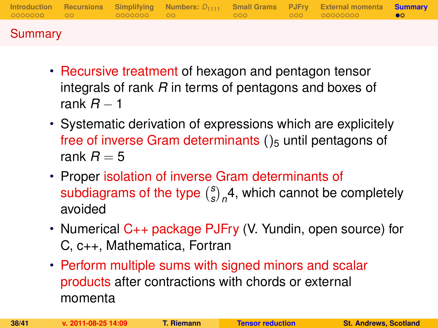|         |  |  | Introduction Recursions Simplifying Numbers: $D_{1111}$ Small-Grams PJFry External-momenta Summary |  |
|---------|--|--|----------------------------------------------------------------------------------------------------|--|
| Summary |  |  |                                                                                                    |  |

- Recursive treatment of hexagon and pentagon tensor integrals of rank *R* in terms of pentagons and boxes of rank *R* − 1
- Systematic derivation of expressions which are explicitely free of inverse Gram determinants  $()_5$  until pentagons of rank  $R = 5$
- Proper isolation of inverse Gram determinants of subdiagrams of the type *s*  $\binom{s}{s}_n$ 4, which cannot be completely avoided
- Numerical C++ package PJFry (V. Yundin, open source) for C, c++, Mathematica, Fortran
- Perform multiple sums with signed minors and scalar products after contractions with chords or external momenta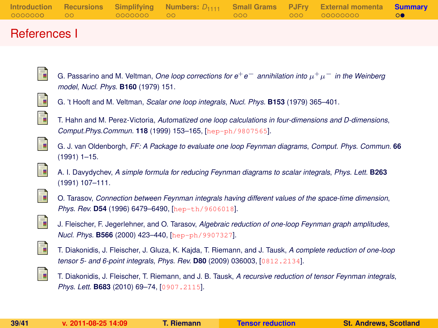|  |  |  | Introduction Recursions Simplifying Numbers: $D_{1111}$ Small Grams PJFry External momenta Summary |  |
|--|--|--|----------------------------------------------------------------------------------------------------|--|
|  |  |  |                                                                                                    |  |
|  |  |  |                                                                                                    |  |

#### References I

G. Passarino and M. Veltman, *One loop corrections for e*+*e*<sup>−</sup> *annihilation into* µ <sup>+</sup>µ<sup>−</sup> *in the Weinberg model*, *Nucl. Phys.* **B160** (1979) 151.

<span id="page-38-1"></span>

<span id="page-38-0"></span>E

G. 't Hooft and M. Veltman, *Scalar one loop integrals*, *Nucl. Phys.* **B153** (1979) 365–401.

<span id="page-38-3"></span>

T. Hahn and M. Perez-Victoria, *Automatized one loop calculations in four-dimensions and D-dimensions*, *Comput.Phys.Commun.* **118** (1999) 153–165, [[hep-ph/9807565](http://xxx.lanl.gov/abs/hep-ph/9807565)].

<span id="page-38-2"></span>

G. J. van Oldenborgh, *FF: A Package to evaluate one loop Feynman diagrams*, *Comput. Phys. Commun.* **66** (1991) 1–15.



<span id="page-38-5"></span>

<span id="page-38-4"></span>F

O. Tarasov, *Connection between Feynman integrals having different values of the space-time dimension*, *Phys. Rev.* **D54** (1996) 6479–6490, [[hep-th/9606018](http://xxx.lanl.gov/abs/hep-th/9606018)].

<span id="page-38-6"></span>

J. Fleischer, F. Jegerlehner, and O. Tarasov, *Algebraic reduction of one-loop Feynman graph amplitudes*, *Nucl. Phys.* **B566** (2000) 423–440, [[hep-ph/9907327](http://xxx.lanl.gov/abs/hep-ph/9907327)].



T. Diakonidis, J. Fleischer, J. Gluza, K. Kajda, T. Riemann, and J. Tausk, *A complete reduction of one-loop tensor 5- and 6-point integrals*, *Phys. Rev.* **D80** (2009) 036003, [[0812.2134](http://xxx.lanl.gov/abs/0812.2134)].

<span id="page-38-7"></span>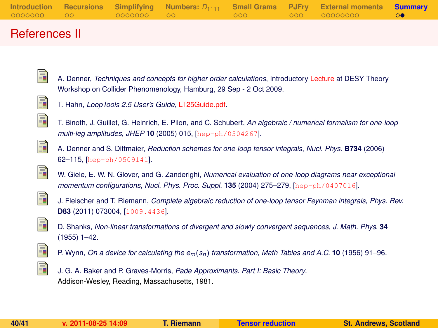|  |  |  | Introduction Recursions Simplifying Numbers: $D_{1111}$ Small Grams PJFry External momenta Summary |  |
|--|--|--|----------------------------------------------------------------------------------------------------|--|
|  |  |  |                                                                                                    |  |
|  |  |  |                                                                                                    |  |

### References II

<span id="page-39-1"></span>

A. Denner, *Techniques and concepts for higher order calculations*, Introductory [Lecture](http://th-workshop2009.desy.de/sites/site_th-workshop2009/content/e59393/e59359/infoboxContent59362/Denner.pdf) at DESY Theory Workshop on Collider Phenomenology, Hamburg, 29 Sep - 2 Oct 2009.

<span id="page-39-2"></span>

T. Hahn, *LoopTools 2.5 User's Guide*, [LT25Guide.pdf.](http://www.feynarts.de/looptools/LT25Guide.pdf)



T. Binoth, J. Guillet, G. Heinrich, E. Pilon, and C. Schubert, *An algebraic / numerical formalism for one-loop multi-leg amplitudes*, *JHEP* **10** (2005) 015, [[hep-ph/0504267](http://xxx.lanl.gov/abs/hep-ph/0504267)].



A. Denner and S. Dittmaier, *Reduction schemes for one-loop tensor integrals*, *Nucl. Phys.* **B734** (2006) 62–115, [[hep-ph/0509141](http://xxx.lanl.gov/abs/hep-ph/0509141)].

<span id="page-39-3"></span>

W. Giele, E. W. N. Glover, and G. Zanderighi, *Numerical evaluation of one-loop diagrams near exceptional momentum configurations*, *Nucl. Phys. Proc. Suppl.* **135** (2004) 275–279, [[hep-ph/0407016](http://xxx.lanl.gov/abs/hep-ph/0407016)].

<span id="page-39-0"></span>

J. Fleischer and T. Riemann, *Complete algebraic reduction of one-loop tensor Feynman integrals*, *Phys. Rev.* **D83** (2011) 073004, [[1009.4436](http://xxx.lanl.gov/abs/1009.4436)].



D. Shanks, *Non-linear transformations of divergent and slowly convergent sequences*, *J. Math. Phys.* **34** (1955) 1–42.



P. Wynn, *On a device for calculating the em*(*sn*) *transformation*, *Math Tables and A.C.* **10** (1956) 91–96.



J. G. A. Baker and P. Graves-Morris, *Pade Approximants. Part I: Basic Theory*. Addison-Wesley, Reading, Massachusetts, 1981.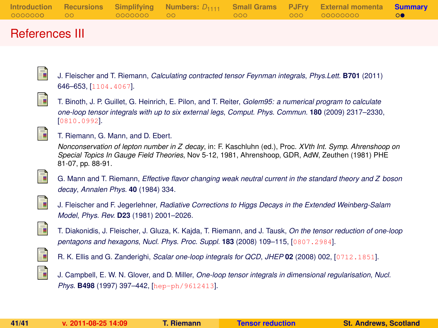|  |  |  | Introduction Recursions Simplifying Numbers: $D_{1111}$ Small Grams PJFry External momenta Summary |  |
|--|--|--|----------------------------------------------------------------------------------------------------|--|
|  |  |  |                                                                                                    |  |
|  |  |  |                                                                                                    |  |

### References III

J. Fleischer and T. Riemann, *Calculating contracted tensor Feynman integrals*, *Phys.Lett.* **B701** (2011) 646–653, [[1104.4067](http://xxx.lanl.gov/abs/1104.4067)].



F.

<span id="page-40-2"></span>暈

T. Binoth, J. P. Guillet, G. Heinrich, E. Pilon, and T. Reiter, *Golem95: a numerical program to calculate one-loop tensor integrals with up to six external legs*, *Comput. Phys. Commun.* **180** (2009) 2317–2330, [[0810.0992](http://xxx.lanl.gov/abs/0810.0992)].

#### T. Riemann, G. Mann, and D. Ebert.

*Nonconservation of lepton number in Z decay*, in: F. Kaschluhn (ed.), Proc. *XVth Int. Symp. Ahrenshoop on Special Topics In Gauge Field Theories*, Nov 5-12, 1981, Ahrenshoop, GDR, AdW, Zeuthen (1981) PHE 81-07, pp. 88-91.



G. Mann and T. Riemann, *Effective flavor changing weak neutral current in the standard theory and Z boson decay*, *Annalen Phys.* **40** (1984) 334.



J. Fleischer and F. Jegerlehner, *Radiative Corrections to Higgs Decays in the Extended Weinberg-Salam Model*, *Phys. Rev.* **D23** (1981) 2001–2026.



T. Diakonidis, J. Fleischer, J. Gluza, K. Kajda, T. Riemann, and J. Tausk, *On the tensor reduction of one-loop pentagons and hexagons*, *Nucl. Phys. Proc. Suppl.* **183** (2008) 109–115, [[0807.2984](http://xxx.lanl.gov/abs/0807.2984)].

<span id="page-40-1"></span>

<span id="page-40-0"></span>R. K. Ellis and G. Zanderighi, *Scalar one-loop integrals for QCD*, *JHEP* **02** (2008) 002, [[0712.1851](http://xxx.lanl.gov/abs/0712.1851)].